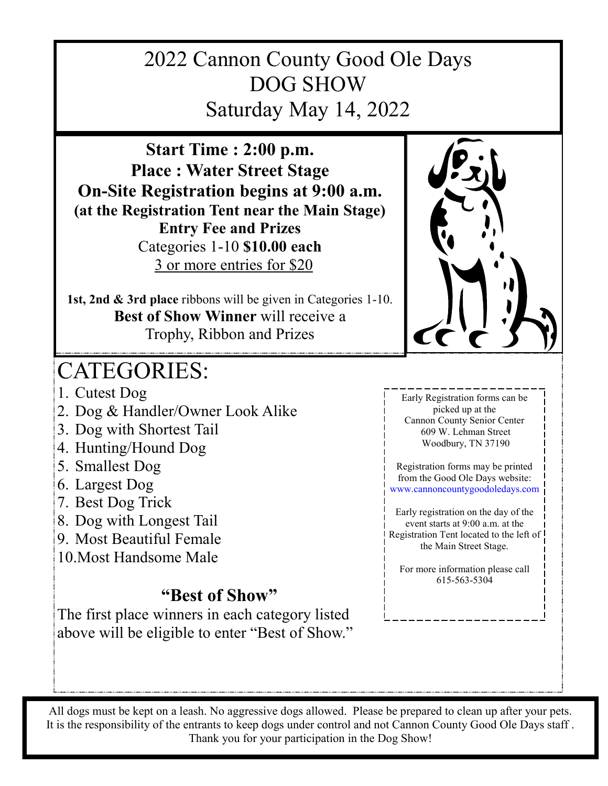## 2022 Cannon County Good Ole Days DOG SHOW Saturday May 14, 2022

**Start Time : 2:00 p.m. Place : Water Street Stage On-Site Registration begins at 9:00 a.m. (at the Registration Tent near the Main Stage) Entry Fee and Prizes** Categories 1-10 **\$10.00 each** 3 or more entries for \$20

**1st, 2nd & 3rd place** ribbons will be given in Categories 1-10. **Best of Show Winner** will receive a Trophy, Ribbon and Prizes

## CATEGORIES:

- 1. Cutest Dog
- 2. Dog & Handler/Owner Look Alike
- 3. Dog with Shortest Tail
- 4. Hunting/Hound Dog
- 5. Smallest Dog
- 6. Largest Dog
- 7. Best Dog Trick
- 8. Dog with Longest Tail
- 9. Most Beautiful Female
- 10.Most Handsome Male

## **"Best of Show"**

The first place winners in each category listed above will be eligible to enter "Best of Show."



Early Registration forms can be picked up at the Cannon County Senior Center 609 W. Lehman Street Woodbury, TN 37190

Registration forms may be printed from the Good Ole Days website: www.cannoncountygoodoledays.com

Early registration on the day of the event starts at 9:00 a.m. at the Registration Tent located to the left of the Main Street Stage.

For more information please call 615-563-5304

All dogs must be kept on a leash. No aggressive dogs allowed. Please be prepared to clean up after your pets. It is the responsibility of the entrants to keep dogs under control and not Cannon County Good Ole Days staff . Thank you for your participation in the Dog Show!